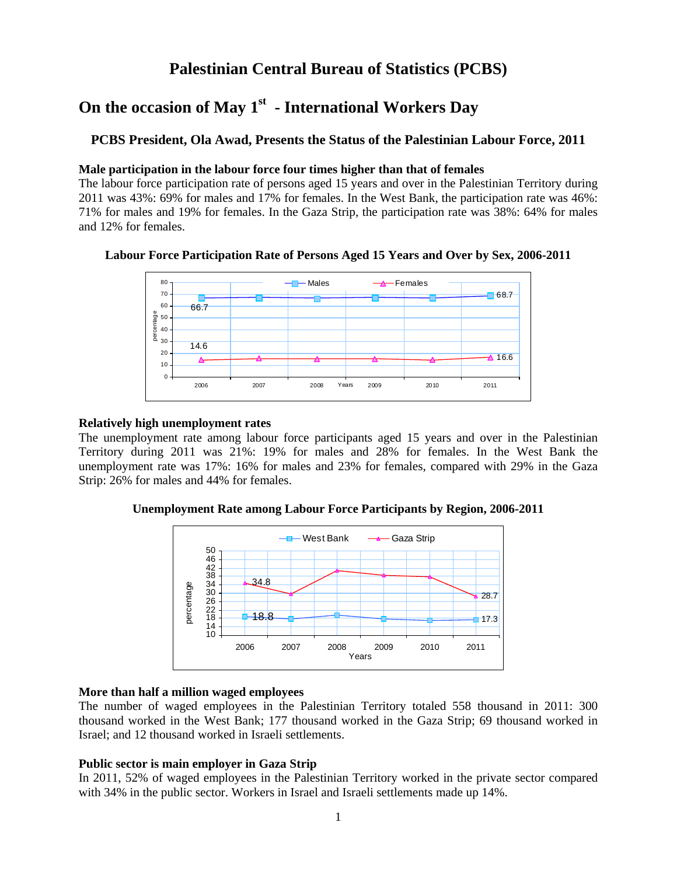## **Palestinian Central Bureau of Statistics (PCBS)**

# On the occasion of May 1<sup>st</sup> - International Workers Day

## **PCBS President, Ola Awad, Presents the Status of the Palestinian Labour Force, 2011**

#### **Male participation in the labour force four times higher than that of females**

The labour force participation rate of persons aged 15 years and over in the Palestinian Territory during 2011 was 43%: 69% for males and 17% for females. In the West Bank, the participation rate was 46%: 71% for males and 19% for females. In the Gaza Strip, the participation rate was 38%: 64% for males and 12% for females.



## **Labour Force Participation Rate of Persons Aged 15 Years and Over by Sex, 2006-2011**

### **Relatively high unemployment rates**

The unemployment rate among labour force participants aged 15 years and over in the Palestinian Territory during 2011 was 21%: 19% for males and 28% for females. In the West Bank the unemployment rate was 17%: 16% for males and 23% for females, compared with 29% in the Gaza Strip: 26% for males and 44% for females.

**Unemployment Rate among Labour Force Participants by Region, 2006-2011** 



#### **More than half a million waged employees**

The number of waged employees in the Palestinian Territory totaled 558 thousand in 2011: 300 thousand worked in the West Bank; 177 thousand worked in the Gaza Strip; 69 thousand worked in Israel; and 12 thousand worked in Israeli settlements.

#### **Public sector is main employer in Gaza Strip**

In 2011, 52% of waged employees in the Palestinian Territory worked in the private sector compared with 34% in the public sector. Workers in Israel and Israeli settlements made up 14%.